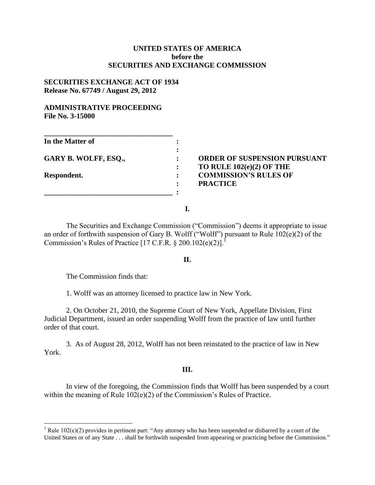# **UNITED STATES OF AMERICA before the SECURITIES AND EXCHANGE COMMISSION**

# **SECURITIES EXCHANGE ACT OF 1934 Release No. 67749 / August 29, 2012**

## **ADMINISTRATIVE PROCEEDING File No. 3-15000**

| In the Matter of            |  |
|-----------------------------|--|
| <b>GARY B. WOLFF, ESQ.,</b> |  |
|                             |  |
| Respondent.                 |  |
|                             |  |

**GARY B. WOLFF, ESQ., : ORDER OF SUSPENSION PURSUANT : TO RULE 102(e)(2) OF THE RESPONDENT COMMISSION'S RULES OF : PRACTICE** 

**I.**

The Securities and Exchange Commission ("Commission") deems it appropriate to issue an order of forthwith suspension of Gary B. Wolff ("Wolff") pursuant to Rule 102(e)(2) of the Commission's Rules of Practice  $[17 \text{ C.F.R. } § 200.102(e)(2)]$ .

### **II.**

The Commission finds that:

 $\overline{a}$ 

1. Wolff was an attorney licensed to practice law in New York.

2. On October 21, 2010, the Supreme Court of New York, Appellate Division, First Judicial Department, issued an order suspending Wolff from the practice of law until further order of that court.

3. As of August 28, 2012, Wolff has not been reinstated to the practice of law in New York.

#### **III.**

In view of the foregoing, the Commission finds that Wolff has been suspended by a court within the meaning of Rule 102(e)(2) of the Commission's Rules of Practice.

<sup>&</sup>lt;sup>1</sup> Rule 102(e)(2) provides in pertinent part: "Any attorney who has been suspended or disbarred by a court of the United States or of any State . . . shall be forthwith suspended from appearing or practicing before the Commission."